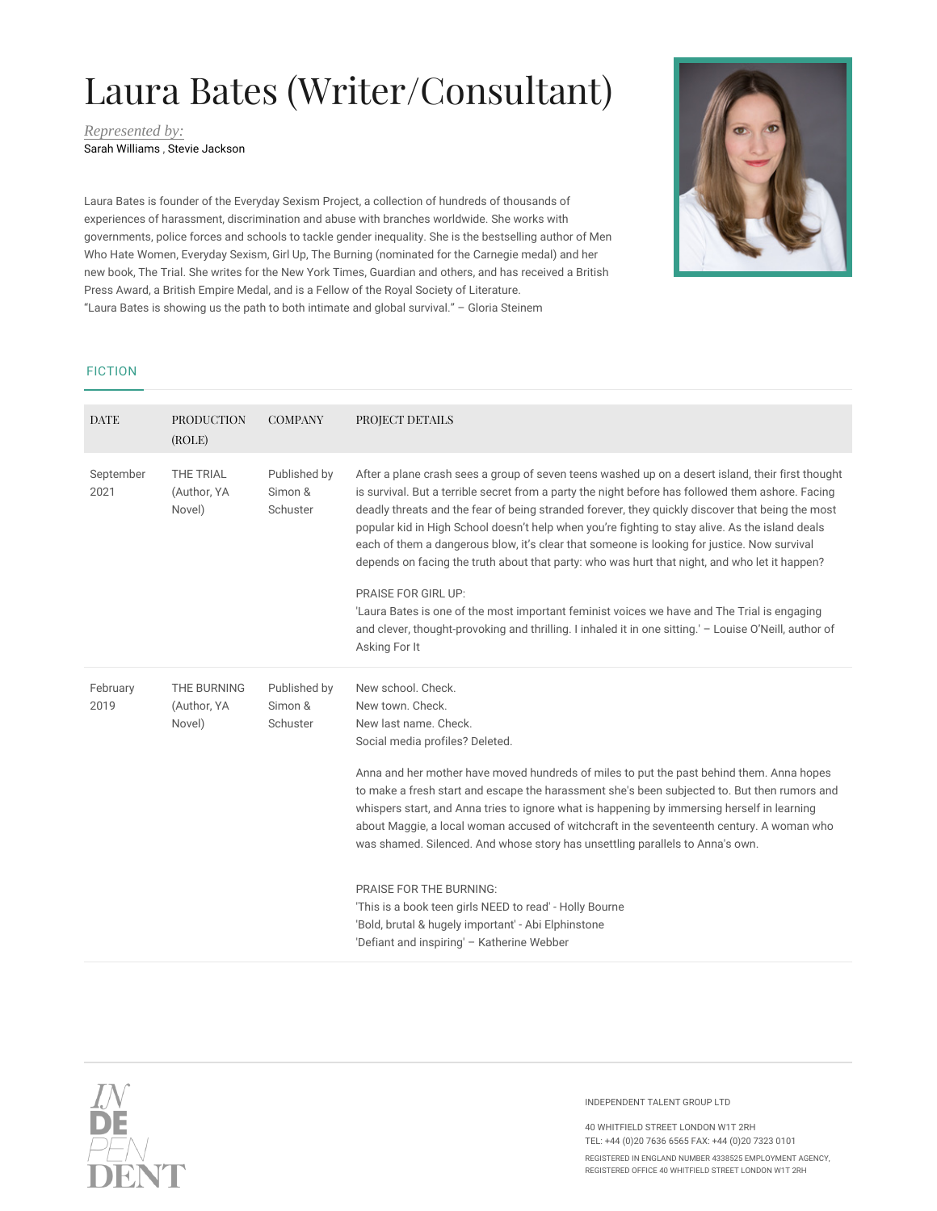## Laura Bates (Writer/Consultant)

*Represented by:* Sarah Williams , Stevie Jackson



Laura Bates is founder of the Everyday Sexism Project, a collection of hundreds of thousands of experiences of harassment, discrimination and abuse with branches worldwide. She works with governments, police forces and schools to tackle gender inequality. She is the bestselling author of Men Who Hate Women, Everyday Sexism, Girl Up, The Burning (nominated for the Carnegie medal) and her new book, The Trial. She writes for the New York Times, Guardian and others, and has received a British Press Award, a British Empire Medal, and is a Fellow of the Royal Society of Literature. "Laura Bates is showing us the path to both intimate and global survival." – Gloria Steinem

## FICTION

| <b>DATE</b>       | <b>PRODUCTION</b><br>(ROLE)          | <b>COMPANY</b>                      | PROJECT DETAILS                                                                                                                                                                                                                                                                                                                                                                                                                                                                                                                                                                                                                                                                                                                                                                                                                                                       |
|-------------------|--------------------------------------|-------------------------------------|-----------------------------------------------------------------------------------------------------------------------------------------------------------------------------------------------------------------------------------------------------------------------------------------------------------------------------------------------------------------------------------------------------------------------------------------------------------------------------------------------------------------------------------------------------------------------------------------------------------------------------------------------------------------------------------------------------------------------------------------------------------------------------------------------------------------------------------------------------------------------|
| September<br>2021 | THE TRIAL<br>(Author, YA<br>Novel)   | Published by<br>Simon &<br>Schuster | After a plane crash sees a group of seven teens washed up on a desert island, their first thought<br>is survival. But a terrible secret from a party the night before has followed them ashore. Facing<br>deadly threats and the fear of being stranded forever, they quickly discover that being the most<br>popular kid in High School doesn't help when you're fighting to stay alive. As the island deals<br>each of them a dangerous blow, it's clear that someone is looking for justice. Now survival<br>depends on facing the truth about that party: who was hurt that night, and who let it happen?<br><b>PRAISE FOR GIRL UP:</b><br>'Laura Bates is one of the most important feminist voices we have and The Trial is engaging<br>and clever, thought-provoking and thrilling. I inhaled it in one sitting.' - Louise O'Neill, author of<br>Asking For It |
| February<br>2019  | THE BURNING<br>(Author, YA<br>Novel) | Published by<br>Simon &<br>Schuster | New school, Check.<br>New town, Check.<br>New last name. Check.<br>Social media profiles? Deleted.<br>Anna and her mother have moved hundreds of miles to put the past behind them. Anna hopes<br>to make a fresh start and escape the harassment she's been subjected to. But then rumors and<br>whispers start, and Anna tries to ignore what is happening by immersing herself in learning<br>about Maggie, a local woman accused of witchcraft in the seventeenth century. A woman who<br>was shamed. Silenced. And whose story has unsettling parallels to Anna's own.<br><b>PRAISE FOR THE BURNING:</b><br>'This is a book teen girls NEED to read' - Holly Bourne<br>'Bold, brutal & hugely important' - Abi Elphinstone<br>'Defiant and inspiring' - Katherine Webber                                                                                         |



INDEPENDENT TALENT GROUP LTD

40 WHITFIELD STREET LONDON W1T 2RH TEL: +44 (0)20 7636 6565 FAX: +44 (0)20 7323 0101

REGISTERED IN ENGLAND NUMBER 4338525 EMPLOYMENT AGENCY, REGISTERED OFFICE 40 WHITFIELD STREET LONDON W1T 2RH